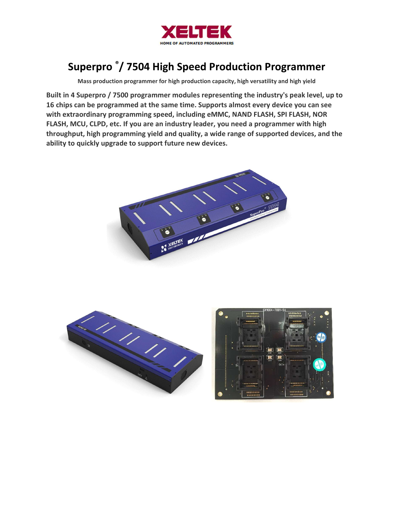

# Superpro ®/ 7504 High Speed Production Programmer

Mass production programmer for high production capacity, high versatility and high yield

Built in 4 Superpro / 7500 programmer modules representing the industry's peak level, up to 16 chips can be programmed at the same time. Supports almost every device you can see with extraordinary programming speed, including eMMC, NAND FLASH, SPI FLASH, NOR FLASH, MCU, CLPD, etc. If you are an industry leader, you need a programmer with high throughput, high programming yield and quality, a wide range of supported devices, and the ability to quickly upgrade to support future new devices.





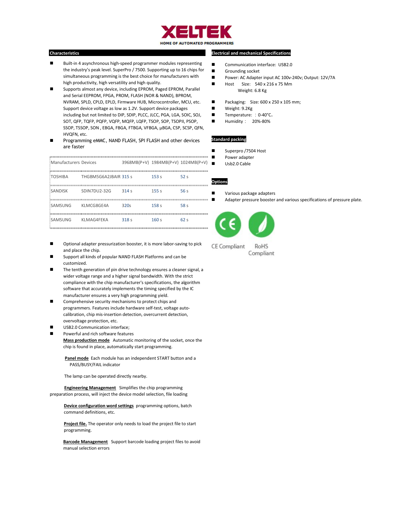

### ı Characteristics

- Built-in 4 asynchronous high-speed programmer modules representing the industry's peak level. SuperPro / 7500. Supporting up to 16 chips for simultaneous programming is the best choice for manufacturers with high productivity, high versatility and high quality.
- Supports almost any device, including EPROM, Paged EPROM, Parallel and Serial EEPROM, FPGA, PROM, FLASH (NOR & NAND), BPROM, NVRAM, SPLD, CPLD, EPLD, Firmware HUB, Microcontroller, MCU, etc. Support device voltage as low as 1.2V. Support device packages including but not limited to DIP, SDIP, PLCC, JLCC, PGA, LGA, SOIC, SOJ, SOT, QFP, TQFP, PQFP, VQFP, MQFP, LQFP, TSOP, SOP, TSOPII, PSOP, SSOP, TSSOP, SON , EBGA, FBGA, FTBGA, VFBGA, μBGA, CSP, SCSP, QFN, HVQFN, etc.
- Programming eMMC, NAND FLASH, SPI FLASH and other devices are faster

| Manufacturers Devices |                               | 3968MB(P+V) 1984MB(P+V) 1024MB(P+V) |                  |      |
|-----------------------|-------------------------------|-------------------------------------|------------------|------|
|                       | TOSHIBA THGBM5G6A2JBAIR 315 s |                                     | 153 <sub>s</sub> | 52s  |
| SANDISK               | SDIN7DU2-32G 314 s            |                                     | 155 <sub>s</sub> | 56 s |
| SAMSUNG KLMCG8GE4A    |                               | 320s                                | 158 <sub>s</sub> | 58 s |
| SAMSUNG KLMAG4FEKA    |                               | 318s                                | 160 s            | 62s  |

## Electrical and mechanical Specifications

- Communication interface: USB2.0
- **Grounding socket**
- Power: AC Adapter input AC 100v-240v; Output: 12V/7A
- Host Size: 540 x 216 x 75 Mm Weight: 6.8 Kg
- Packaging: Size: 600 x 250 x 105 mm;
- Weight: 9.2Kg
- Temperature: : 0-40°C。
- $\blacksquare$  Humidity: 20%-80%

#### Standard packing

- Superpro /7504 Host
- **Power adapter** 
	- Usb2.0 Cable
	-

## **Options**

- Various package adapters
- Adapter pressure booster and various specifications of pressure plate.



- Optional adapter pressurization booster, it is more labor-saving to pick and place the chip.
- Support all kinds of popular NAND FLASH Platforms and can be customized.
- The tenth generation of pin drive technology ensures a cleaner signal, a wider voltage range and a higher signal bandwidth. With the strict compliance with the chip manufacturer's specifications, the algorithm software that accurately implements the timing specified by the IC manufacturer ensures a very high programming yield.
- Comprehensive security mechanisms to protect chips and programmers. Features include hardware self-test, voltage autocalibration, chip mis-insertion detection, overcurrent detection, overvoltage protection, etc.
- USB2.0 Communication interface;
	- Powerful and rich software features Mass production mode Automatic monitoring of the socket, once the chip is found in place, automatically start programming.
		- Panel mode Each module has an independent START button and a PASS/BUSY/FAIL indicator

The lamp can be operated directly nearby.

**Engineering Management** Simplifies the chip programming preparation process, will inject the device model selection, file loading

Device configuration word settings programming options, batch command definitions, etc.

Project file. The operator only needs to load the project file to start programming.

**Barcode Management** Support barcode loading project files to avoid manual selection errors

**CE Compliant** Compliant

RoHS